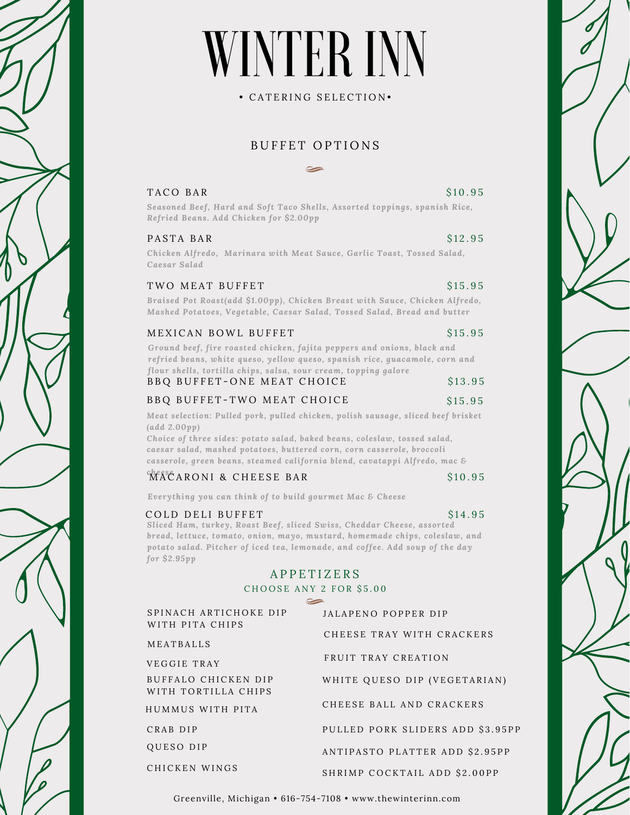# WINTER INN

• C A T E R I N G S E L E C T I O N •

# BUFFET OPTIONS

 $\sim$ 

### $TACO$  BAR  $S10.95$

*Seasoned Beef, Hard and Soft Taco Shells, Assorted toppings, spanish Rice, Refried Beans. Add Chicken for \$2.00pp*

### PASTA BAR \$12.95

*Chicken Alfredo, Marinara with Meat Sauce, Garlic Toast, Tossed Salad, Caesar Salad*

### TWO MEAT BUFFET S15.95

*Braised Pot Roast(add \$1.00pp), Chicken Breast with Sauce, Chicken Alfredo, Mashed Potatoes, Vegetable, Caesar Salad, Tossed Salad, Bread and butter*

### MEXICAN BOWL BUFFET \$15.95

*Ground beef, fire roasted chicken, fajita peppers and onions, black and refried beans, white queso, yellow queso, spanish rice, guacamole, corn and flour shells, tortilla chips, salsa, sour cream, topping galore*

| BBQ BUFFET-ONE MEAT CHOICE |  | \$13.95 |
|----------------------------|--|---------|
|                            |  |         |

# B B Q B U F F E T - T W O M E A T C H O I C E T T A S 2 5 . 95

*Meat selection: Pulled pork, pulled chicken, polish sausage, sliced beef brisket (add 2.00pp)*

*Choice of three sides: potato salad, baked beans, coleslaw, tossed salad, caesar salad, mashed potatoes, buttered corn, corn casserole, broccoli casserole, green beans, steamed california blend, cavatappi Alfredo, mac &*

# <sup>chees</sup>CARONI & CHEESE BAR
\$10.95

*Everything you can think of to build gourmet Mac & Cheese*

#### COLD DELI BUFFET

S<sub>14.95</sub> *Sliced Ham, turkey, Roast Beef, sliced Swiss, Cheddar Cheese, assorted bread, lettuce, tomato, onion, mayo, mustard, homemade chips, coleslaw, and potato salad. Pitcher of iced tea, lemonade, and coffee. Add soup of the day for \$2.95pp*

# A P P E T I Z E R S

## CHOOSE ANY 2 FOR \$5.00

| SPINACH ARTICHOKE DIP | JALAPENO POPPER DIP              |  |  |
|-----------------------|----------------------------------|--|--|
| WITH PITA CHIPS       | CHEESE TRAY WITH CRACKERS        |  |  |
| MEATBALLS             |                                  |  |  |
| VEGGIE TRAY           | FRUIT TRAY CREATION              |  |  |
| BUFFALO CHICKEN DIP   | WHITE QUESO DIP (VEGETARIAN)     |  |  |
| WITH TORTILLA CHIPS   |                                  |  |  |
| HUMMUS WITH PITA      | CHEESE BALL AND CRACKERS         |  |  |
| CRAB DIP              | PULLED PORK SLIDERS ADD \$3.95PP |  |  |
| <b>QUESO DIP</b>      | ANTIPASTO PLATTER ADD \$2.95PP   |  |  |
| CHICKEN WINGS         | SHRIMP COCKTAIL ADD \$2.00PP     |  |  |
|                       |                                  |  |  |

Greenville, Michigan • 616-754-7108 • www.thewinterinn.com



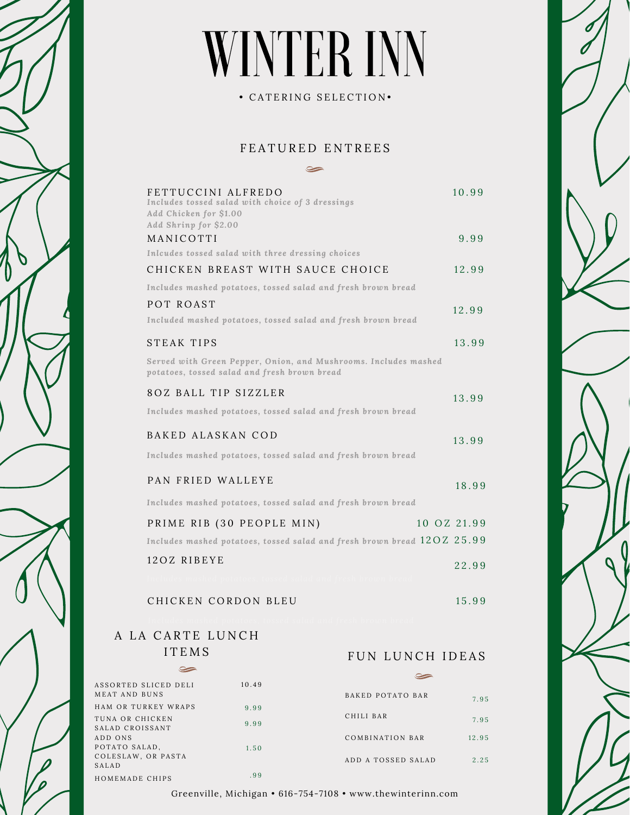# WINTER INN

• CATERING SELECTION•

# F E A T U R E D E N T R E E S  $\sim$

| FETTUCCINI ALFREDO<br>Includes tossed salad with choice of 3 dressings<br>Add Chicken for \$1.00<br>Add Shrinp for \$2.00<br>MANICOTTI | 10.99<br>9.99 |
|----------------------------------------------------------------------------------------------------------------------------------------|---------------|
| Inlcudes tossed salad with three dressing choices                                                                                      |               |
| CHICKEN BREAST WITH SAUCE CHOICE<br>Includes mashed potatoes, tossed salad and fresh brown bread                                       | 12.99         |
| POT ROAST                                                                                                                              |               |
| Included mashed potatoes, tossed salad and fresh brown bread                                                                           | 12.99         |
|                                                                                                                                        |               |
| <b>STEAK TIPS</b>                                                                                                                      | 13.99         |
| Served with Green Pepper, Onion, and Mushrooms. Includes mashed<br>potatoes, tossed salad and fresh brown bread                        |               |
| 8OZ BALL TIP SIZZLER                                                                                                                   |               |
| Includes mashed potatoes, tossed salad and fresh brown bread                                                                           | 13.99         |
| BAKED ALASKAN COD                                                                                                                      |               |
|                                                                                                                                        | 13.99         |
| Includes mashed potatoes, tossed salad and fresh brown bread                                                                           |               |
| PAN FRIED WALLEYE                                                                                                                      | 18.99         |
| Includes mashed potatoes, tossed salad and fresh brown bread                                                                           |               |
|                                                                                                                                        | 10 OZ 21.99   |
| PRIME RIB (30 PEOPLE MIN)                                                                                                              |               |
| Includes mashed potatoes, tossed salad and fresh brown bread $120Z$ 25.99                                                              |               |
| 12OZ RIBEYE                                                                                                                            | 22.99         |
|                                                                                                                                        |               |
| CHICKEN CORDON BLEU                                                                                                                    | 15.99         |
|                                                                                                                                        |               |

# A LA CARTE LUNCH I T E M S

#### $\infty$  $\blacktriangleright$ ASSORTED SLICED DELI 1 0 . 4 9 M E A T A N D B U N S BAKED POTATO BAR 7 . 9 5 HAM OR TURKEY WRAPS 9 . 9 9 CHILI BAR TUNA OR CHICKEN 7 . 9 5 9 . 9 9 SALAD CROISSANT COMBINATION BAR A D D O N S 1 2 . 9 5 POTATO SALAD, 1 . 5 0 COLESLAW, OR PASTA ADD A TOSSED SALAD 2 . 2 5 S A L A D . 9 9HOMEMADE CHIPS

Greenville, Michigan • 616-754-7108 • www.thewinterinn.com

FUN LUNCH IDEAS